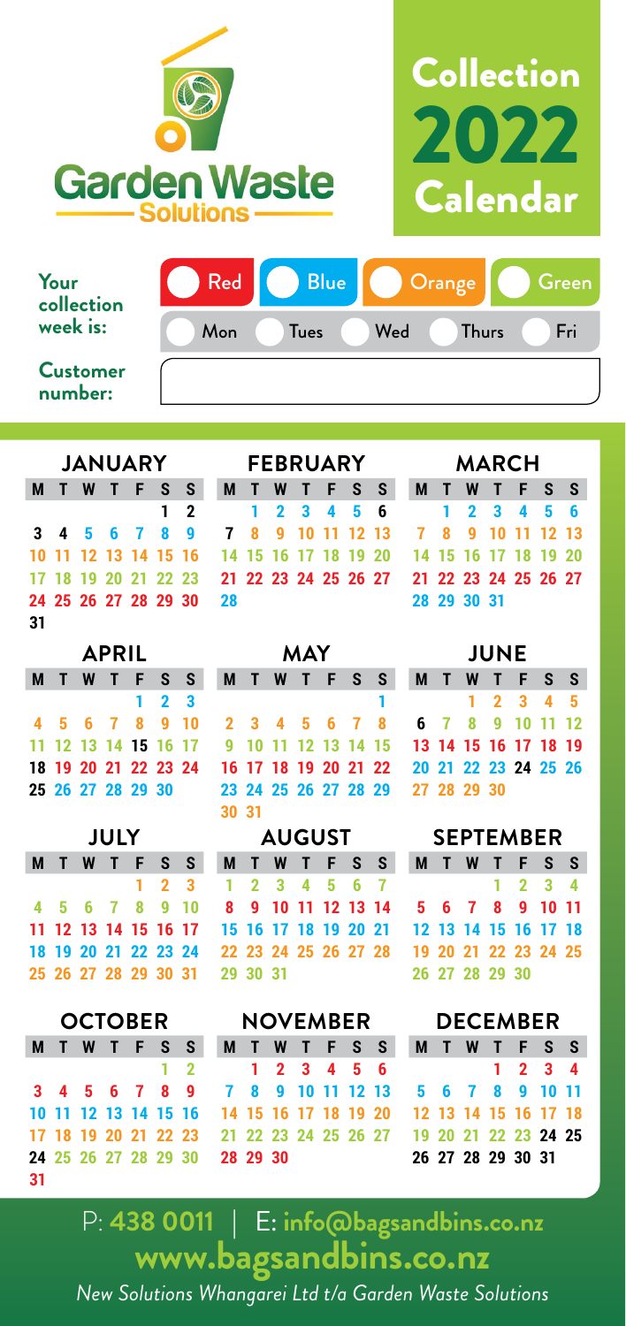



| Your<br>collection         | <b>Red</b> | <b>Blue</b> | Orange |              | Green/ |
|----------------------------|------------|-------------|--------|--------------|--------|
| week is:                   | Mon        | <b>Tues</b> | Wed    | <b>Thurs</b> | Fri    |
| <b>Customer</b><br>number: |            |             |        |              |        |

|    |  |  |  |  |  |  | JANUARY FEBRUARY                                               |                                           |  |  |  |  |  | MARCH       |  |  |  |  |  |  |
|----|--|--|--|--|--|--|----------------------------------------------------------------|-------------------------------------------|--|--|--|--|--|-------------|--|--|--|--|--|--|
|    |  |  |  |  |  |  |                                                                | M T W T F S S M T W T F S S M T W T F S S |  |  |  |  |  |             |  |  |  |  |  |  |
|    |  |  |  |  |  |  | 1 2 1 2 3 4 5 6 1 2 3 4 5 6                                    |                                           |  |  |  |  |  |             |  |  |  |  |  |  |
|    |  |  |  |  |  |  | 3 4 5 6 7 8 9 7 8 9 10 11 12 13 7 8 9 10 11 12 13              |                                           |  |  |  |  |  |             |  |  |  |  |  |  |
|    |  |  |  |  |  |  | 10 11 12 13 14 15 16 14 15 16 17 18 19 20 14 15 16 17 18 19 20 |                                           |  |  |  |  |  |             |  |  |  |  |  |  |
|    |  |  |  |  |  |  | 17 18 19 20 21 22 23 21 22 23 24 25 26 27 21 22 23 24 25 26 27 |                                           |  |  |  |  |  |             |  |  |  |  |  |  |
|    |  |  |  |  |  |  | 24 25 26 27 28 29 30 28                                        |                                           |  |  |  |  |  | 28 29 30 31 |  |  |  |  |  |  |
| 31 |  |  |  |  |  |  |                                                                |                                           |  |  |  |  |  |             |  |  |  |  |  |  |

| APRIL |  |  |  |                      |             |  |  |  |  |  |  |  |  |
|-------|--|--|--|----------------------|-------------|--|--|--|--|--|--|--|--|
|       |  |  |  | <b>MTWTFSS</b>       |             |  |  |  |  |  |  |  |  |
|       |  |  |  |                      | $1 \t2 \t3$ |  |  |  |  |  |  |  |  |
|       |  |  |  | 4 5 6 7 8 9 10       |             |  |  |  |  |  |  |  |  |
|       |  |  |  | 11 12 13 14 15 16 17 |             |  |  |  |  |  |  |  |  |
|       |  |  |  | 18 19 20 21 22 23 24 |             |  |  |  |  |  |  |  |  |
|       |  |  |  | 25 26 27 28 29 30    |             |  |  |  |  |  |  |  |  |
|       |  |  |  |                      |             |  |  |  |  |  |  |  |  |

| JULY |                      |  |  |  |                     |  |  |  |  |  |  |  |  |
|------|----------------------|--|--|--|---------------------|--|--|--|--|--|--|--|--|
|      | <b>MTWTFSS</b>       |  |  |  |                     |  |  |  |  |  |  |  |  |
|      |                      |  |  |  | $1 \quad 2 \quad 3$ |  |  |  |  |  |  |  |  |
|      | 4 5 6 7 8 9 10       |  |  |  |                     |  |  |  |  |  |  |  |  |
|      | 11 12 13 14 15 16 17 |  |  |  |                     |  |  |  |  |  |  |  |  |
|      | 18 19 20 21 22 23 24 |  |  |  |                     |  |  |  |  |  |  |  |  |
|      | 25 26 27 28 29 30 31 |  |  |  |                     |  |  |  |  |  |  |  |  |
|      |                      |  |  |  |                     |  |  |  |  |  |  |  |  |

| OCTOBER |  |
|---------|--|
|---------|--|

|    |  |  | MTWTFSS              |  |
|----|--|--|----------------------|--|
|    |  |  | $1\quad 2$           |  |
|    |  |  | 3 4 5 6 7 8 9        |  |
|    |  |  | 10 11 12 13 14 15 16 |  |
|    |  |  | 17 18 19 20 21 22 23 |  |
|    |  |  | 24 25 26 27 28 29 30 |  |
| 31 |  |  |                      |  |
|    |  |  |                      |  |

|  |  |  | JANUARY FEBRUARY    |  |  |  | <b>MARCH</b>                                               |  |             |  |  |  |  |  |
|--|--|--|---------------------|--|--|--|------------------------------------------------------------|--|-------------|--|--|--|--|--|
|  |  |  |                     |  |  |  | <b>IWTFSS MTWTFSS MTWTFSS</b>                              |  |             |  |  |  |  |  |
|  |  |  |                     |  |  |  | 1 2 1 2 3 4 5 6 1 2 3 4 5 6                                |  |             |  |  |  |  |  |
|  |  |  |                     |  |  |  | 4 5 6 7 8 9 7 8 9 10 11 12 13 7 8 9 10 11 12 13            |  |             |  |  |  |  |  |
|  |  |  |                     |  |  |  | 1 12 13 14 15 16 14 15 16 17 18 19 20 14 15 16 17 18 19 20 |  |             |  |  |  |  |  |
|  |  |  |                     |  |  |  | 8 19 20 21 22 23 21 22 23 24 25 26 27 21 22 23 24 25 26 21 |  |             |  |  |  |  |  |
|  |  |  | 5 26 27 28 29 30 28 |  |  |  |                                                            |  | 28 29 30 31 |  |  |  |  |  |

| <b>MARCH</b> |  |             |  |                         |  |  |  |  |  |  |  |  |  |
|--------------|--|-------------|--|-------------------------|--|--|--|--|--|--|--|--|--|
|              |  |             |  | <b>MTWTFSS</b>          |  |  |  |  |  |  |  |  |  |
|              |  |             |  | $1 \t2 \t3 \t4 \t5 \t6$ |  |  |  |  |  |  |  |  |  |
|              |  |             |  | 7 8 9 10 11 12 13       |  |  |  |  |  |  |  |  |  |
|              |  |             |  | 14 15 16 17 18 19 20    |  |  |  |  |  |  |  |  |  |
|              |  |             |  | 21 22 23 24 25 26 27    |  |  |  |  |  |  |  |  |  |
|              |  | 28 29 30 31 |  |                         |  |  |  |  |  |  |  |  |  |
|              |  |             |  |                         |  |  |  |  |  |  |  |  |  |

| <b>APRIL</b> |  |  |  |  |             |  | MAY.                                                                                                                 |  |  |  |  |  |  | <b>JUNE</b> |  |  |  |  |  |  |
|--------------|--|--|--|--|-------------|--|----------------------------------------------------------------------------------------------------------------------|--|--|--|--|--|--|-------------|--|--|--|--|--|--|
|              |  |  |  |  |             |  | M T W T F S S M T W T F S S M T W T F S S                                                                            |  |  |  |  |  |  |             |  |  |  |  |  |  |
|              |  |  |  |  | $1 \t2 \t3$ |  |                                                                                                                      |  |  |  |  |  |  | 1 1 2 3 4 5 |  |  |  |  |  |  |
|              |  |  |  |  |             |  | 4 5 6 7 8 9 10 2 3 4 5 6 7 8 6 7 8 9 10 11 12                                                                        |  |  |  |  |  |  |             |  |  |  |  |  |  |
|              |  |  |  |  |             |  | 11 12 13 14 15 16 17 9 10 11 12 13 14 15 13 14 15 16 17 18 19                                                        |  |  |  |  |  |  |             |  |  |  |  |  |  |
|              |  |  |  |  |             |  | 18    19    20    21    22    23    24    16    17    18    19    20    21    22    20    21    22    23    24    25 |  |  |  |  |  |  |             |  |  |  |  |  |  |
|              |  |  |  |  |             |  | 25  26  27  28  29  30   23  24  25  26  27  28  29  27  28  29  30                                                  |  |  |  |  |  |  |             |  |  |  |  |  |  |
|              |  |  |  |  |             |  | 30 31                                                                                                                |  |  |  |  |  |  |             |  |  |  |  |  |  |

|  |  |  |  |                               |  |  |  |  |  | M T W T F S S M T W T F S S M T W T F S S                      |  |  |  |  |  |  |
|--|--|--|--|-------------------------------|--|--|--|--|--|----------------------------------------------------------------|--|--|--|--|--|--|
|  |  |  |  |                               |  |  |  |  |  | 1 2 3 1 2 3 4 5 6 7 1 2 3 4                                    |  |  |  |  |  |  |
|  |  |  |  |                               |  |  |  |  |  | 4 5 6 7 8 9 10 8 9 10 11 12 13 14 5 6 7 8 9 10 11              |  |  |  |  |  |  |
|  |  |  |  |                               |  |  |  |  |  | 11 12 13 14 15 16 17 15 16 17 18 19 20 21 12 13 14 15 16 17 18 |  |  |  |  |  |  |
|  |  |  |  |                               |  |  |  |  |  |                                                                |  |  |  |  |  |  |
|  |  |  |  | 25 26 27 28 29 30 31 29 30 31 |  |  |  |  |  | 26 27 28 29 30                                                 |  |  |  |  |  |  |
|  |  |  |  |                               |  |  |  |  |  |                                                                |  |  |  |  |  |  |

|  |  |  |  |  |  |                               |  |  |  |  |  |  | M T W T F S S M T W T F S S M T W T F S S                                 |  |  |  |  |  |  |
|--|--|--|--|--|--|-------------------------------|--|--|--|--|--|--|---------------------------------------------------------------------------|--|--|--|--|--|--|
|  |  |  |  |  |  |                               |  |  |  |  |  |  | 1 2 1 2 3 4 5 6 1 2 3 4                                                   |  |  |  |  |  |  |
|  |  |  |  |  |  |                               |  |  |  |  |  |  | 3 4 5 6 7 8 9 7 8 9 10 11 12 13 5 6 7 8 9 10 11                           |  |  |  |  |  |  |
|  |  |  |  |  |  |                               |  |  |  |  |  |  |                                                                           |  |  |  |  |  |  |
|  |  |  |  |  |  |                               |  |  |  |  |  |  | 17 18 19 20 21 22 23   21 22 23 24 25 26 27   19 20 21 22 23 <b>24 25</b> |  |  |  |  |  |  |
|  |  |  |  |  |  | 24 25 26 27 28 29 30 28 29 30 |  |  |  |  |  |  | 26 27 28 29 30 31                                                         |  |  |  |  |  |  |
|  |  |  |  |  |  |                               |  |  |  |  |  |  |                                                                           |  |  |  |  |  |  |

|  |             | <b>MTWTFSS</b>       |  |
|--|-------------|----------------------|--|
|  |             | $1 \t2 \t3 \t4 \t5$  |  |
|  |             | 6 7 8 9 10 11 12     |  |
|  |             | 13 14 15 16 17 18 19 |  |
|  |             | 20 21 22 23 24 25 26 |  |
|  | 27 28 29 30 |                      |  |

## **JULY AUGUST SEPTEMBER**

|                      |  |  |                 |                 |  | <b>MTWTFSS</b> |
|----------------------|--|--|-----------------|-----------------|--|----------------|
|                      |  |  |                 | $1 \t2 \t3 \t4$ |  |                |
|                      |  |  | 5 6 7 8 9 10 11 |                 |  |                |
| 12 13 14 15 16 17 18 |  |  |                 |                 |  |                |
| 19 20 21 22 23 24 25 |  |  |                 |                 |  |                |
| 26 27 28 29 30       |  |  |                 |                 |  |                |

## **OCTOBER NOVEMBER DECEMBER**

|                      | <b>MTWTFSS</b>  |  |                                                        |  |
|----------------------|-----------------|--|--------------------------------------------------------|--|
|                      |                 |  | $\begin{array}{ccccccccc}\n1 & 2 & 3 & 4\n\end{array}$ |  |
|                      | 5 6 7 8 9 10 11 |  |                                                        |  |
| 12 13 14 15 16 17 18 |                 |  |                                                        |  |
| 19 20 21 22 23 24 25 |                 |  |                                                        |  |
| 26 27 28 29 30 31    |                 |  |                                                        |  |

P: **438 0011** | E: **info@bagsandbins.co.nz www.bagsandbins.co.nz** *New Solutions Whangarei Ltd t/a Garden Waste Solutions*